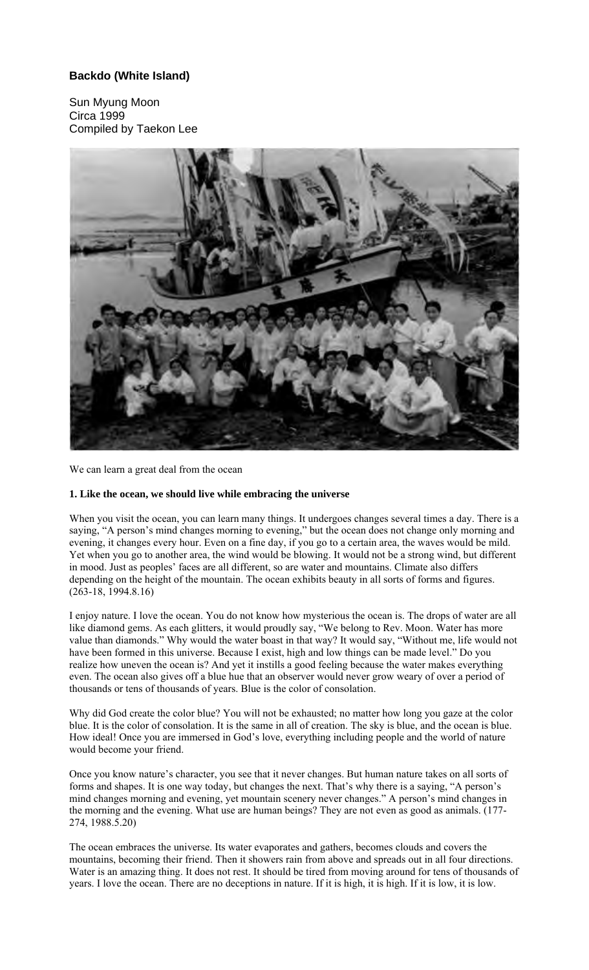## **Backdo (White Island)**

Sun Myung Moon Circa 1999 Compiled by Taekon Lee



We can learn a great deal from the ocean

## **1. Like the ocean, we should live while embracing the universe**

When you visit the ocean, you can learn many things. It undergoes changes several times a day. There is a saying, "A person's mind changes morning to evening," but the ocean does not change only morning and evening, it changes every hour. Even on a fine day, if you go to a certain area, the waves would be mild. Yet when you go to another area, the wind would be blowing. It would not be a strong wind, but different in mood. Just as peoples' faces are all different, so are water and mountains. Climate also differs depending on the height of the mountain. The ocean exhibits beauty in all sorts of forms and figures. (263-18, 1994.8.16)

I enjoy nature. I love the ocean. You do not know how mysterious the ocean is. The drops of water are all like diamond gems. As each glitters, it would proudly say, "We belong to Rev. Moon. Water has more value than diamonds." Why would the water boast in that way? It would say, "Without me, life would not have been formed in this universe. Because I exist, high and low things can be made level." Do you realize how uneven the ocean is? And yet it instills a good feeling because the water makes everything even. The ocean also gives off a blue hue that an observer would never grow weary of over a period of thousands or tens of thousands of years. Blue is the color of consolation.

Why did God create the color blue? You will not be exhausted; no matter how long you gaze at the color blue. It is the color of consolation. It is the same in all of creation. The sky is blue, and the ocean is blue. How ideal! Once you are immersed in God's love, everything including people and the world of nature would become your friend.

Once you know nature's character, you see that it never changes. But human nature takes on all sorts of forms and shapes. It is one way today, but changes the next. That's why there is a saying, "A person's mind changes morning and evening, yet mountain scenery never changes." A person's mind changes in the morning and the evening. What use are human beings? They are not even as good as animals. (177- 274, 1988.5.20)

The ocean embraces the universe. Its water evaporates and gathers, becomes clouds and covers the mountains, becoming their friend. Then it showers rain from above and spreads out in all four directions. Water is an amazing thing. It does not rest. It should be tired from moving around for tens of thousands of years. I love the ocean. There are no deceptions in nature. If it is high, it is high. If it is low, it is low.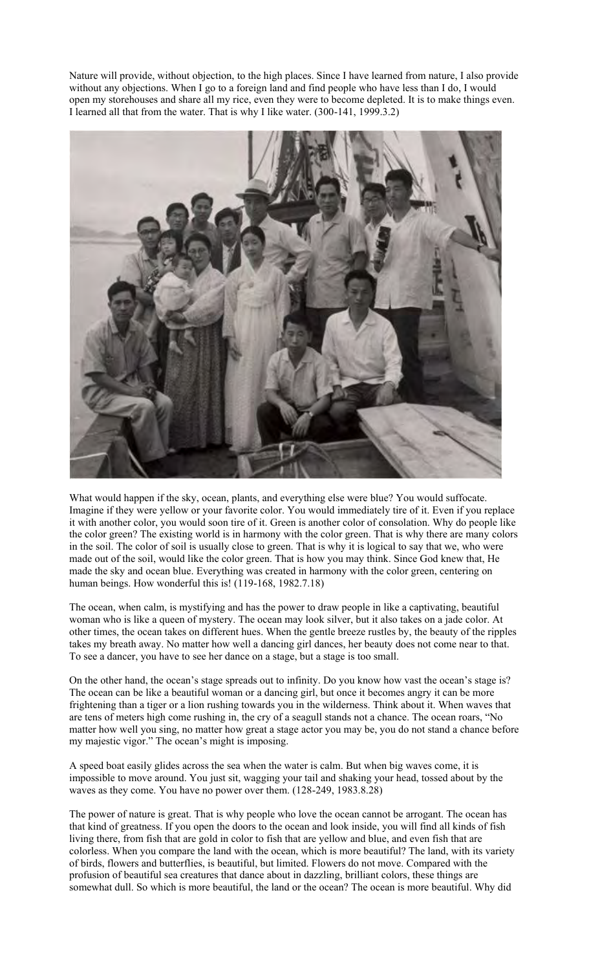Nature will provide, without objection, to the high places. Since I have learned from nature, I also provide without any objections. When I go to a foreign land and find people who have less than I do, I would open my storehouses and share all my rice, even they were to become depleted. It is to make things even. I learned all that from the water. That is why I like water. (300-141, 1999.3.2)



What would happen if the sky, ocean, plants, and everything else were blue? You would suffocate. Imagine if they were yellow or your favorite color. You would immediately tire of it. Even if you replace it with another color, you would soon tire of it. Green is another color of consolation. Why do people like the color green? The existing world is in harmony with the color green. That is why there are many colors in the soil. The color of soil is usually close to green. That is why it is logical to say that we, who were made out of the soil, would like the color green. That is how you may think. Since God knew that, He made the sky and ocean blue. Everything was created in harmony with the color green, centering on human beings. How wonderful this is! (119-168, 1982.7.18)

The ocean, when calm, is mystifying and has the power to draw people in like a captivating, beautiful woman who is like a queen of mystery. The ocean may look silver, but it also takes on a jade color. At other times, the ocean takes on different hues. When the gentle breeze rustles by, the beauty of the ripples takes my breath away. No matter how well a dancing girl dances, her beauty does not come near to that. To see a dancer, you have to see her dance on a stage, but a stage is too small.

On the other hand, the ocean's stage spreads out to infinity. Do you know how vast the ocean's stage is? The ocean can be like a beautiful woman or a dancing girl, but once it becomes angry it can be more frightening than a tiger or a lion rushing towards you in the wilderness. Think about it. When waves that are tens of meters high come rushing in, the cry of a seagull stands not a chance. The ocean roars, "No matter how well you sing, no matter how great a stage actor you may be, you do not stand a chance before my majestic vigor." The ocean's might is imposing.

A speed boat easily glides across the sea when the water is calm. But when big waves come, it is impossible to move around. You just sit, wagging your tail and shaking your head, tossed about by the waves as they come. You have no power over them. (128-249, 1983.8.28)

The power of nature is great. That is why people who love the ocean cannot be arrogant. The ocean has that kind of greatness. If you open the doors to the ocean and look inside, you will find all kinds of fish living there, from fish that are gold in color to fish that are yellow and blue, and even fish that are colorless. When you compare the land with the ocean, which is more beautiful? The land, with its variety of birds, flowers and butterflies, is beautiful, but limited. Flowers do not move. Compared with the profusion of beautiful sea creatures that dance about in dazzling, brilliant colors, these things are somewhat dull. So which is more beautiful, the land or the ocean? The ocean is more beautiful. Why did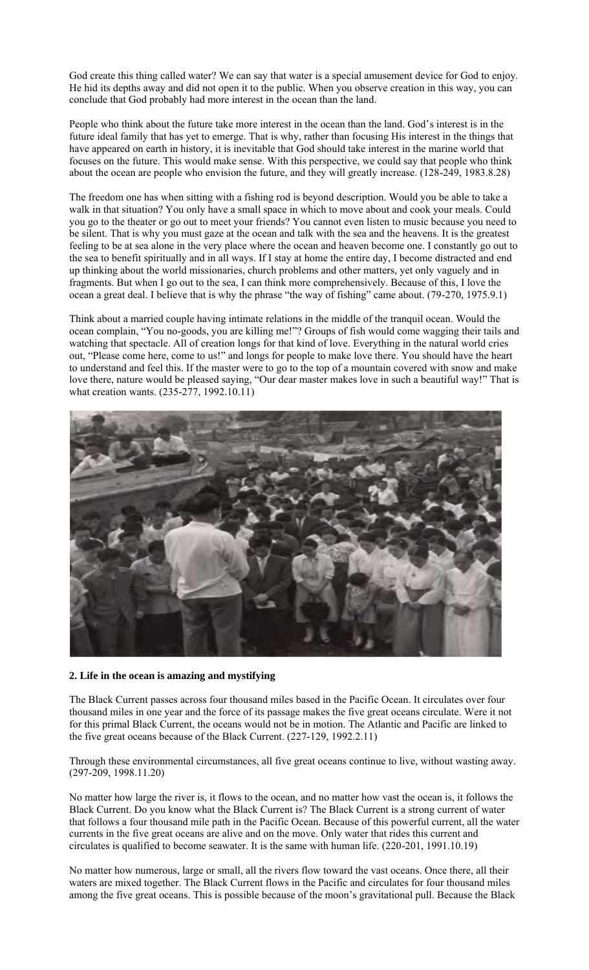God create this thing called water? We can say that water is a special amusement device for God to enjoy. He hid its depths away and did not open it to the public. When you observe creation in this way, you can conclude that God probably had more interest in the ocean than the land.

People who think about the future take more interest in the ocean than the land. God's interest is in the future ideal family that has yet to emerge. That is why, rather than focusing His interest in the things that have appeared on earth in history, it is inevitable that God should take interest in the marine world that focuses on the future. This would make sense. With this perspective, we could say that people who think about the ocean are people who envision the future, and they will greatly increase. (128-249, 1983.8.28)

The freedom one has when sitting with a fishing rod is beyond description. Would you be able to take a walk in that situation? You only have a small space in which to move about and cook your meals. Could you go to the theater or go out to meet your friends? You cannot even listen to music because you need to be silent. That is why you must gaze at the ocean and talk with the sea and the heavens. It is the greatest feeling to be at sea alone in the very place where the ocean and heaven become one. I constantly go out to the sea to benefit spiritually and in all ways. If I stay at home the entire day, I become distracted and end up thinking about the world missionaries, church problems and other matters, yet only vaguely and in fragments. But when I go out to the sea, I can think more comprehensively. Because of this, I love the ocean a great deal. I believe that is why the phrase "the way of fishing" came about. (79-270, 1975.9.1)

Think about a married couple having intimate relations in the middle of the tranquil ocean. Would the ocean complain, "You no-goods, you are killing me!"? Groups of fish would come wagging their tails and watching that spectacle. All of creation longs for that kind of love. Everything in the natural world cries out, "Please come here, come to us!" and longs for people to make love there. You should have the heart to understand and feel this. If the master were to go to the top of a mountain covered with snow and make love there, nature would be pleased saying, "Our dear master makes love in such a beautiful way!" That is what creation wants. (235-277, 1992.10.11)



## **2. Life in the ocean is amazing and mystifying**

The Black Current passes across four thousand miles based in the Pacific Ocean. It circulates over four thousand miles in one year and the force of its passage makes the five great oceans circulate. Were it not for this primal Black Current, the oceans would not be in motion. The Atlantic and Pacific are linked to the five great oceans because of the Black Current. (227-129, 1992.2.11)

Through these environmental circumstances, all five great oceans continue to live, without wasting away. (297-209, 1998.11.20)

No matter how large the river is, it flows to the ocean, and no matter how vast the ocean is, it follows the Black Current. Do you know what the Black Current is? The Black Current is a strong current of water that follows a four thousand mile path in the Pacific Ocean. Because of this powerful current, all the water currents in the five great oceans are alive and on the move. Only water that rides this current and circulates is qualified to become seawater. It is the same with human life. (220-201, 1991.10.19)

No matter how numerous, large or small, all the rivers flow toward the vast oceans. Once there, all their waters are mixed together. The Black Current flows in the Pacific and circulates for four thousand miles among the five great oceans. This is possible because of the moon's gravitational pull. Because the Black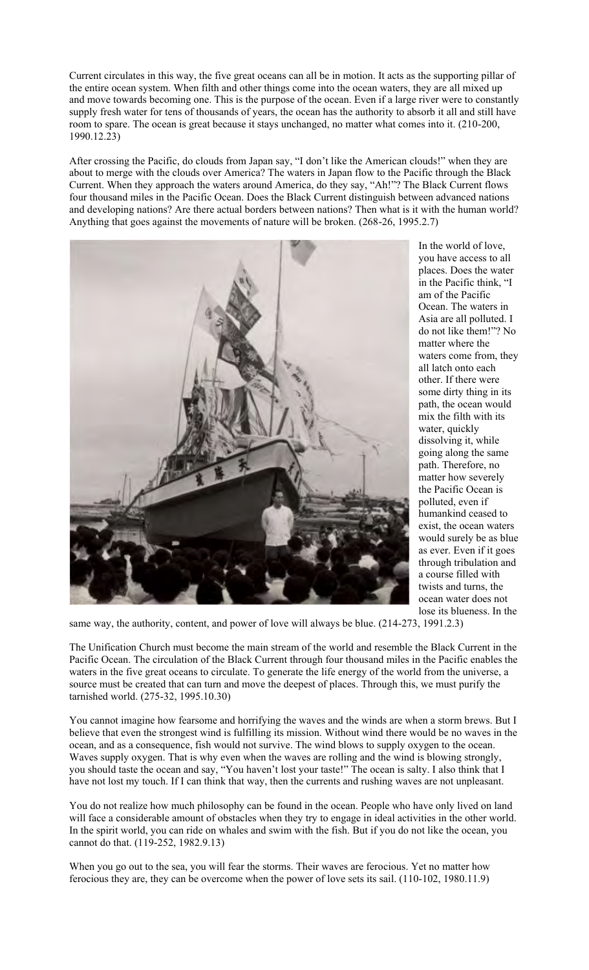Current circulates in this way, the five great oceans can all be in motion. It acts as the supporting pillar of the entire ocean system. When filth and other things come into the ocean waters, they are all mixed up and move towards becoming one. This is the purpose of the ocean. Even if a large river were to constantly supply fresh water for tens of thousands of years, the ocean has the authority to absorb it all and still have room to spare. The ocean is great because it stays unchanged, no matter what comes into it. (210-200, 1990.12.23)

After crossing the Pacific, do clouds from Japan say, "I don't like the American clouds!" when they are about to merge with the clouds over America? The waters in Japan flow to the Pacific through the Black Current. When they approach the waters around America, do they say, "Ah!"? The Black Current flows four thousand miles in the Pacific Ocean. Does the Black Current distinguish between advanced nations and developing nations? Are there actual borders between nations? Then what is it with the human world? Anything that goes against the movements of nature will be broken. (268-26, 1995.2.7)



In the world of love, you have access to all places. Does the water in the Pacific think, "I am of the Pacific Ocean. The waters in Asia are all polluted. I do not like them!"? No matter where the waters come from, they all latch onto each other. If there were some dirty thing in its path, the ocean would mix the filth with its water, quickly dissolving it, while going along the same path. Therefore, no matter how severely the Pacific Ocean is polluted, even if humankind ceased to exist, the ocean waters would surely be as blue as ever. Even if it goes through tribulation and a course filled with twists and turns, the ocean water does not lose its blueness. In the

same way, the authority, content, and power of love will always be blue. (214-273, 1991.2.3)

The Unification Church must become the main stream of the world and resemble the Black Current in the Pacific Ocean. The circulation of the Black Current through four thousand miles in the Pacific enables the waters in the five great oceans to circulate. To generate the life energy of the world from the universe, a source must be created that can turn and move the deepest of places. Through this, we must purify the tarnished world. (275-32, 1995.10.30)

You cannot imagine how fearsome and horrifying the waves and the winds are when a storm brews. But I believe that even the strongest wind is fulfilling its mission. Without wind there would be no waves in the ocean, and as a consequence, fish would not survive. The wind blows to supply oxygen to the ocean. Waves supply oxygen. That is why even when the waves are rolling and the wind is blowing strongly, you should taste the ocean and say, "You haven't lost your taste!" The ocean is salty. I also think that I have not lost my touch. If I can think that way, then the currents and rushing waves are not unpleasant.

You do not realize how much philosophy can be found in the ocean. People who have only lived on land will face a considerable amount of obstacles when they try to engage in ideal activities in the other world. In the spirit world, you can ride on whales and swim with the fish. But if you do not like the ocean, you cannot do that. (119-252, 1982.9.13)

When you go out to the sea, you will fear the storms. Their waves are ferocious. Yet no matter how ferocious they are, they can be overcome when the power of love sets its sail. (110-102, 1980.11.9)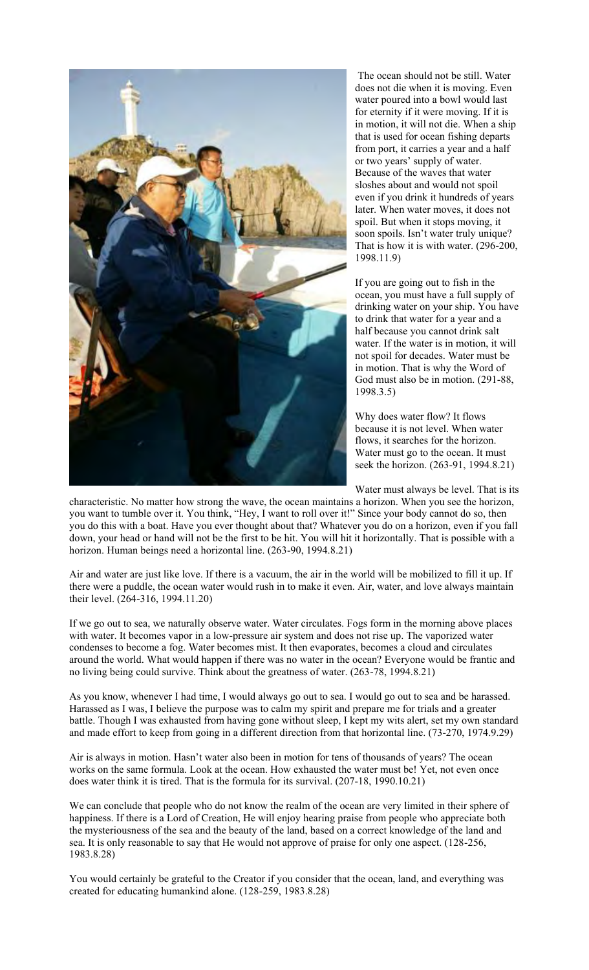

 The ocean should not be still. Water does not die when it is moving. Even water poured into a bowl would last for eternity if it were moving. If it is in motion, it will not die. When a ship that is used for ocean fishing departs from port, it carries a year and a half or two years' supply of water. Because of the waves that water sloshes about and would not spoil even if you drink it hundreds of years later. When water moves, it does not spoil. But when it stops moving, it soon spoils. Isn't water truly unique? That is how it is with water. (296-200, 1998.11.9)

If you are going out to fish in the ocean, you must have a full supply of drinking water on your ship. You have to drink that water for a year and a half because you cannot drink salt water. If the water is in motion, it will not spoil for decades. Water must be in motion. That is why the Word of God must also be in motion. (291-88, 1998.3.5)

Why does water flow? It flows because it is not level. When water flows, it searches for the horizon. Water must go to the ocean. It must seek the horizon. (263-91, 1994.8.21)

Water must always be level. That is its

characteristic. No matter how strong the wave, the ocean maintains a horizon. When you see the horizon, you want to tumble over it. You think, "Hey, I want to roll over it!" Since your body cannot do so, then you do this with a boat. Have you ever thought about that? Whatever you do on a horizon, even if you fall down, your head or hand will not be the first to be hit. You will hit it horizontally. That is possible with a horizon. Human beings need a horizontal line. (263-90, 1994.8.21)

Air and water are just like love. If there is a vacuum, the air in the world will be mobilized to fill it up. If there were a puddle, the ocean water would rush in to make it even. Air, water, and love always maintain their level. (264-316, 1994.11.20)

If we go out to sea, we naturally observe water. Water circulates. Fogs form in the morning above places with water. It becomes vapor in a low-pressure air system and does not rise up. The vaporized water condenses to become a fog. Water becomes mist. It then evaporates, becomes a cloud and circulates around the world. What would happen if there was no water in the ocean? Everyone would be frantic and no living being could survive. Think about the greatness of water. (263-78, 1994.8.21)

As you know, whenever I had time, I would always go out to sea. I would go out to sea and be harassed. Harassed as I was, I believe the purpose was to calm my spirit and prepare me for trials and a greater battle. Though I was exhausted from having gone without sleep, I kept my wits alert, set my own standard and made effort to keep from going in a different direction from that horizontal line. (73-270, 1974.9.29)

Air is always in motion. Hasn't water also been in motion for tens of thousands of years? The ocean works on the same formula. Look at the ocean. How exhausted the water must be! Yet, not even once does water think it is tired. That is the formula for its survival. (207-18, 1990.10.21)

We can conclude that people who do not know the realm of the ocean are very limited in their sphere of happiness. If there is a Lord of Creation, He will enjoy hearing praise from people who appreciate both the mysteriousness of the sea and the beauty of the land, based on a correct knowledge of the land and sea. It is only reasonable to say that He would not approve of praise for only one aspect. (128-256, 1983.8.28)

You would certainly be grateful to the Creator if you consider that the ocean, land, and everything was created for educating humankind alone. (128-259, 1983.8.28)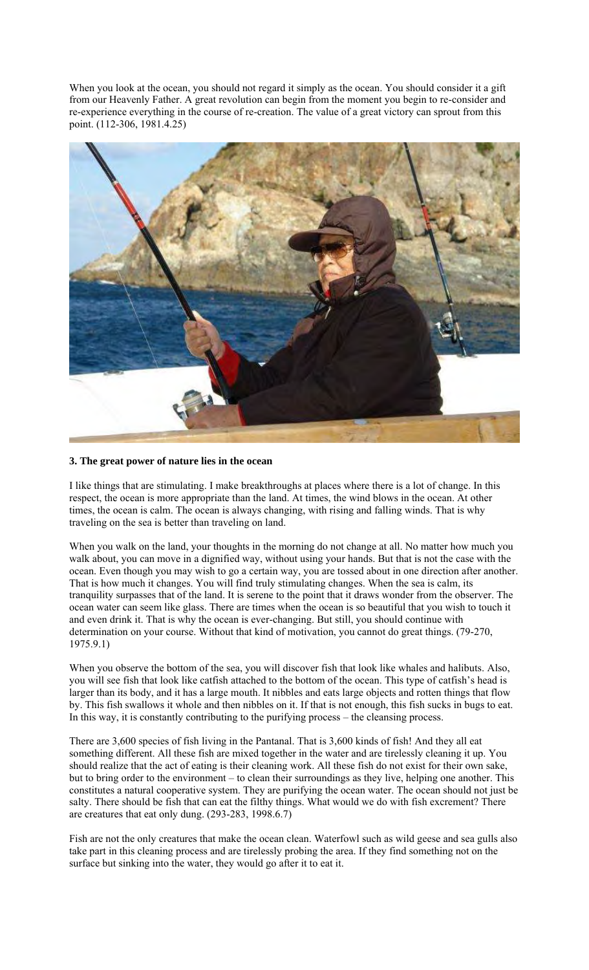When you look at the ocean, you should not regard it simply as the ocean. You should consider it a gift from our Heavenly Father. A great revolution can begin from the moment you begin to re-consider and re-experience everything in the course of re-creation. The value of a great victory can sprout from this point. (112-306, 1981.4.25)



## **3. The great power of nature lies in the ocean**

I like things that are stimulating. I make breakthroughs at places where there is a lot of change. In this respect, the ocean is more appropriate than the land. At times, the wind blows in the ocean. At other times, the ocean is calm. The ocean is always changing, with rising and falling winds. That is why traveling on the sea is better than traveling on land.

When you walk on the land, your thoughts in the morning do not change at all. No matter how much you walk about, you can move in a dignified way, without using your hands. But that is not the case with the ocean. Even though you may wish to go a certain way, you are tossed about in one direction after another. That is how much it changes. You will find truly stimulating changes. When the sea is calm, its tranquility surpasses that of the land. It is serene to the point that it draws wonder from the observer. The ocean water can seem like glass. There are times when the ocean is so beautiful that you wish to touch it and even drink it. That is why the ocean is ever-changing. But still, you should continue with determination on your course. Without that kind of motivation, you cannot do great things. (79-270, 1975.9.1)

When you observe the bottom of the sea, you will discover fish that look like whales and halibuts. Also, you will see fish that look like catfish attached to the bottom of the ocean. This type of catfish's head is larger than its body, and it has a large mouth. It nibbles and eats large objects and rotten things that flow by. This fish swallows it whole and then nibbles on it. If that is not enough, this fish sucks in bugs to eat. In this way, it is constantly contributing to the purifying process – the cleansing process.

There are 3,600 species of fish living in the Pantanal. That is 3,600 kinds of fish! And they all eat something different. All these fish are mixed together in the water and are tirelessly cleaning it up. You should realize that the act of eating is their cleaning work. All these fish do not exist for their own sake, but to bring order to the environment – to clean their surroundings as they live, helping one another. This constitutes a natural cooperative system. They are purifying the ocean water. The ocean should not just be salty. There should be fish that can eat the filthy things. What would we do with fish excrement? There are creatures that eat only dung. (293-283, 1998.6.7)

Fish are not the only creatures that make the ocean clean. Waterfowl such as wild geese and sea gulls also take part in this cleaning process and are tirelessly probing the area. If they find something not on the surface but sinking into the water, they would go after it to eat it.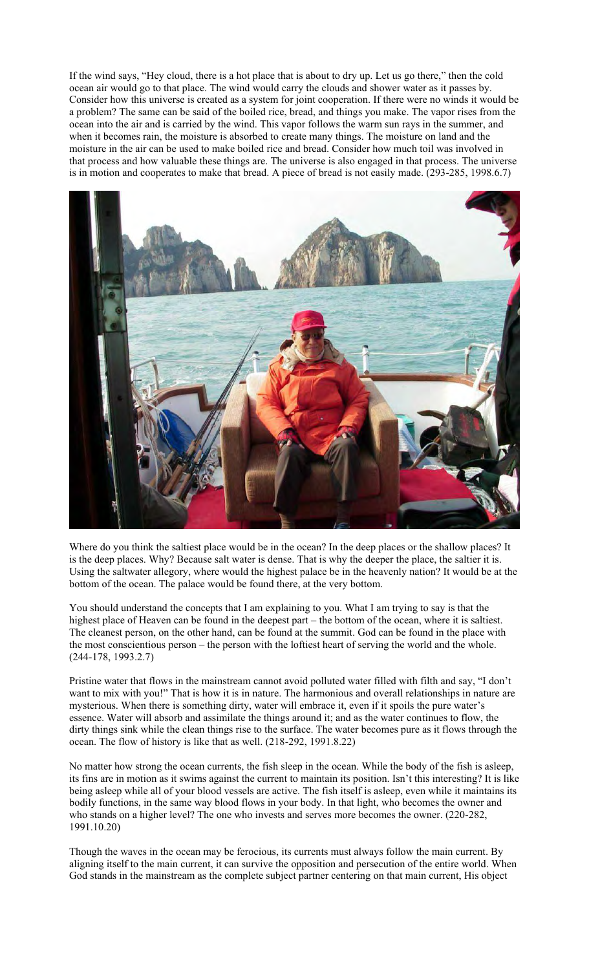If the wind says, "Hey cloud, there is a hot place that is about to dry up. Let us go there," then the cold ocean air would go to that place. The wind would carry the clouds and shower water as it passes by. Consider how this universe is created as a system for joint cooperation. If there were no winds it would be a problem? The same can be said of the boiled rice, bread, and things you make. The vapor rises from the ocean into the air and is carried by the wind. This vapor follows the warm sun rays in the summer, and when it becomes rain, the moisture is absorbed to create many things. The moisture on land and the moisture in the air can be used to make boiled rice and bread. Consider how much toil was involved in that process and how valuable these things are. The universe is also engaged in that process. The universe is in motion and cooperates to make that bread. A piece of bread is not easily made. (293-285, 1998.6.7)



Where do you think the saltiest place would be in the ocean? In the deep places or the shallow places? It is the deep places. Why? Because salt water is dense. That is why the deeper the place, the saltier it is. Using the saltwater allegory, where would the highest palace be in the heavenly nation? It would be at the bottom of the ocean. The palace would be found there, at the very bottom.

You should understand the concepts that I am explaining to you. What I am trying to say is that the highest place of Heaven can be found in the deepest part – the bottom of the ocean, where it is saltiest. The cleanest person, on the other hand, can be found at the summit. God can be found in the place with the most conscientious person – the person with the loftiest heart of serving the world and the whole. (244-178, 1993.2.7)

Pristine water that flows in the mainstream cannot avoid polluted water filled with filth and say, "I don't want to mix with you!" That is how it is in nature. The harmonious and overall relationships in nature are mysterious. When there is something dirty, water will embrace it, even if it spoils the pure water's essence. Water will absorb and assimilate the things around it; and as the water continues to flow, the dirty things sink while the clean things rise to the surface. The water becomes pure as it flows through the ocean. The flow of history is like that as well. (218-292, 1991.8.22)

No matter how strong the ocean currents, the fish sleep in the ocean. While the body of the fish is asleep, its fins are in motion as it swims against the current to maintain its position. Isn't this interesting? It is like being asleep while all of your blood vessels are active. The fish itself is asleep, even while it maintains its bodily functions, in the same way blood flows in your body. In that light, who becomes the owner and who stands on a higher level? The one who invests and serves more becomes the owner. (220-282, 1991.10.20)

Though the waves in the ocean may be ferocious, its currents must always follow the main current. By aligning itself to the main current, it can survive the opposition and persecution of the entire world. When God stands in the mainstream as the complete subject partner centering on that main current, His object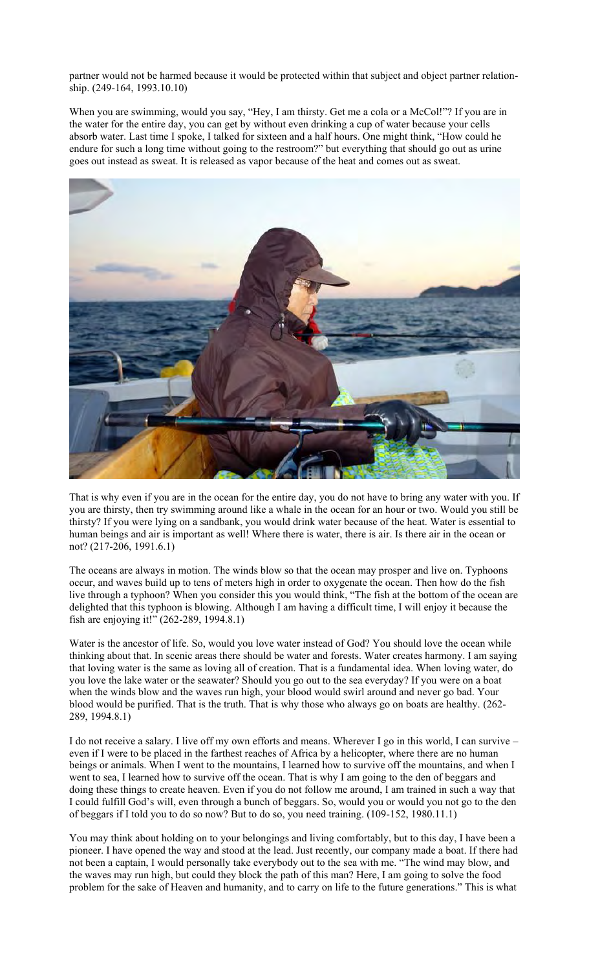partner would not be harmed because it would be protected within that subject and object partner relationship. (249-164, 1993.10.10)

When you are swimming, would you say, "Hey, I am thirsty. Get me a cola or a McCol!"? If you are in the water for the entire day, you can get by without even drinking a cup of water because your cells absorb water. Last time I spoke, I talked for sixteen and a half hours. One might think, "How could he endure for such a long time without going to the restroom?" but everything that should go out as urine goes out instead as sweat. It is released as vapor because of the heat and comes out as sweat.



That is why even if you are in the ocean for the entire day, you do not have to bring any water with you. If you are thirsty, then try swimming around like a whale in the ocean for an hour or two. Would you still be thirsty? If you were lying on a sandbank, you would drink water because of the heat. Water is essential to human beings and air is important as well! Where there is water, there is air. Is there air in the ocean or not? (217-206, 1991.6.1)

The oceans are always in motion. The winds blow so that the ocean may prosper and live on. Typhoons occur, and waves build up to tens of meters high in order to oxygenate the ocean. Then how do the fish live through a typhoon? When you consider this you would think, "The fish at the bottom of the ocean are delighted that this typhoon is blowing. Although I am having a difficult time, I will enjoy it because the fish are enjoying it!" (262-289, 1994.8.1)

Water is the ancestor of life. So, would you love water instead of God? You should love the ocean while thinking about that. In scenic areas there should be water and forests. Water creates harmony. I am saying that loving water is the same as loving all of creation. That is a fundamental idea. When loving water, do you love the lake water or the seawater? Should you go out to the sea everyday? If you were on a boat when the winds blow and the waves run high, your blood would swirl around and never go bad. Your blood would be purified. That is the truth. That is why those who always go on boats are healthy. (262- 289, 1994.8.1)

I do not receive a salary. I live off my own efforts and means. Wherever I go in this world, I can survive – even if I were to be placed in the farthest reaches of Africa by a helicopter, where there are no human beings or animals. When I went to the mountains, I learned how to survive off the mountains, and when I went to sea, I learned how to survive off the ocean. That is why I am going to the den of beggars and doing these things to create heaven. Even if you do not follow me around, I am trained in such a way that I could fulfill God's will, even through a bunch of beggars. So, would you or would you not go to the den of beggars if I told you to do so now? But to do so, you need training. (109-152, 1980.11.1)

You may think about holding on to your belongings and living comfortably, but to this day, I have been a pioneer. I have opened the way and stood at the lead. Just recently, our company made a boat. If there had not been a captain, I would personally take everybody out to the sea with me. "The wind may blow, and the waves may run high, but could they block the path of this man? Here, I am going to solve the food problem for the sake of Heaven and humanity, and to carry on life to the future generations." This is what